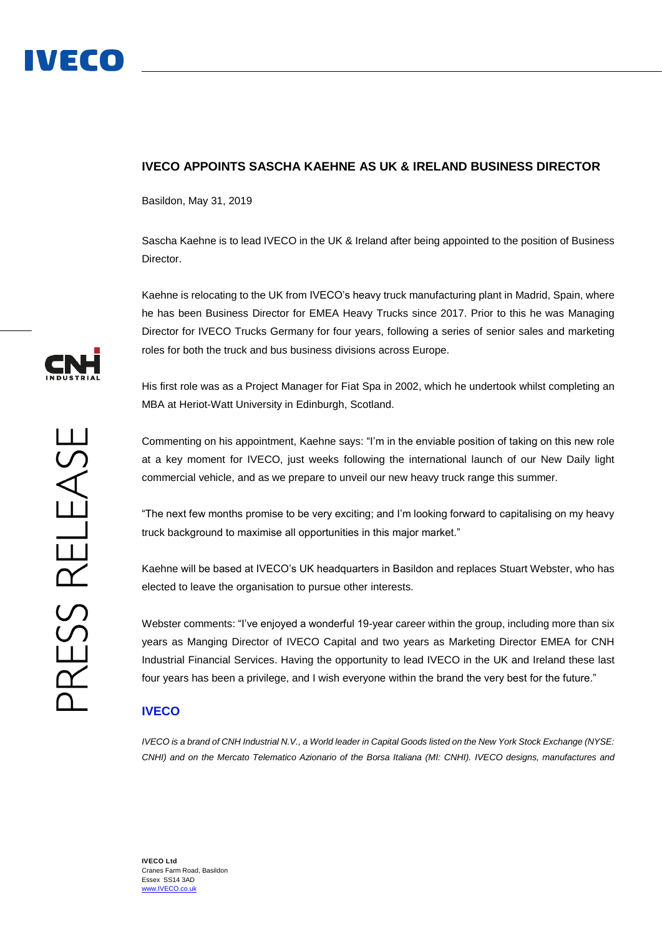## **IVECO APPOINTS SASCHA KAEHNE AS UK & IRELAND BUSINESS DIRECTOR**

Basildon, May 31, 2019

Sascha Kaehne is to lead IVECO in the UK & Ireland after being appointed to the position of Business Director.

Kaehne is relocating to the UK from IVECO's heavy truck manufacturing plant in Madrid, Spain, where he has been Business Director for EMEA Heavy Trucks since 2017. Prior to this he was Managing Director for IVECO Trucks Germany for four years, following a series of senior sales and marketing roles for both the truck and bus business divisions across Europe.

His first role was as a Project Manager for Fiat Spa in 2002, which he undertook whilst completing an MBA at Heriot-Watt University in Edinburgh, Scotland.

Commenting on his appointment, Kaehne says: "I'm in the enviable position of taking on this new role at a key moment for IVECO, just weeks following the international launch of our New Daily light commercial vehicle, and as we prepare to unveil our new heavy truck range this summer.

"The next few months promise to be very exciting; and I'm looking forward to capitalising on my heavy truck background to maximise all opportunities in this major market."

Kaehne will be based at IVECO's UK headquarters in Basildon and replaces Stuart Webster, who has elected to leave the organisation to pursue other interests.

Webster comments: "I've enjoyed a wonderful 19-year career within the group, including more than six years as Manging Director of IVECO Capital and two years as Marketing Director EMEA for CNH Industrial Financial Services. Having the opportunity to lead IVECO in the UK and Ireland these last four years has been a privilege, and I wish everyone within the brand the very best for the future."

## **IVECO**

*IVECO is a brand of CNH Industrial N.V., a World leader in Capital Goods listed on the New York Stock Exchange (NYSE: CNHI) and on the Mercato Telematico Azionario of the Borsa Italiana (MI: CNHI). IVECO designs, manufactures and*